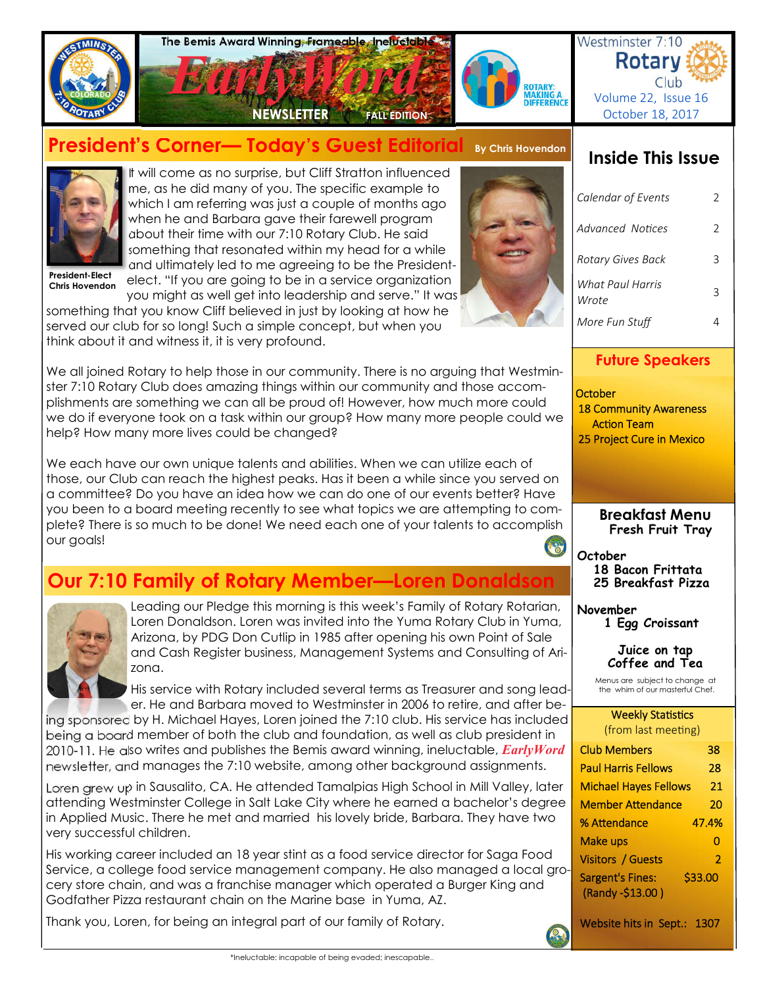

# **President's Corner— Today's Guest Editorial By Chris Hovendon**



It will come as no surprise, but Cliff Stratton influenced me, as he did many of you. The specific example to which I am referring was just a couple of months ago when he and Barbara gave their farewell program about their time with our 7:10 Rotary Club. He said something that resonated within my head for a while and ultimately led to me agreeing to be the Presidentelect. "If you are going to be in a service organization

**President-Elect Chris Hovendon**

you might as well get into leadership and serve." It was something that you know Cliff believed in just by looking at how he served our club for so long! Such a simple concept, but when you think about it and witness it, it is very profound.

We all joined Rotary to help those in our community. There is no arguing that Westminster 7:10 Rotary Club does amazing things within our community and those accomplishments are something we can all be proud of! However, how much more could we do if everyone took on a task within our group? How many more people could we help? How many more lives could be changed?

We each have our own unique talents and abilities. When we can utilize each of those, our Club can reach the highest peaks. Has it been a while since you served on a committee? Do you have an idea how we can do one of our events better? Have you been to a board meeting recently to see what topics we are attempting to complete? There is so much to be done! We need each one of your talents to accomplish our goals!

# **Our 7:10 Family of Rotary Member—Loren Donaldson**



Leading our Pledge this morning is this week's Family of Rotary Rotarian, Loren Donaldson. Loren was invited into the Yuma Rotary Club in Yuma, Arizona, by PDG Don Cutlip in 1985 after opening his own Point of Sale and Cash Register business, Management Systems and Consulting of Arizona.

His service with Rotary included several terms as Treasurer and song leader. He and Barbara moved to Westminster in 2006 to retire, and after be-

ing sponsored by H. Michael Hayes, Loren joined the 7:10 club. His service has included being a board member of both the club and foundation, as well as club president in 2010-11. He also writes and publishes the Bemis award winning, ineluctable, *EarlyWord* newsletter, and manages the 7:10 website, among other background assignments.

Loren grew up in Sausalito, CA. He attended Tamalpias High School in Mill Valley, later attending Westminster College in Salt Lake City where he earned a bachelor's degree in Applied Music. There he met and married his lovely bride, Barbara. They have two very successful children.

His working career included an 18 year stint as a food service director for Saga Food Service, a college food service management company. He also managed a local grocery store chain, and was a franchise manager which operated a Burger King and Godfather Pizza restaurant chain on the Marine base in Yuma, AZ.

Thank you, Loren, for being an integral part of our family of Rotary.

# **Inside This Issue**

| Calendar of Events        | 2 |
|---------------------------|---|
| Advanced Notices          | C |
| Rotary Gives Back         |   |
| What Paul Harris<br>Wrote |   |
| More Fun Stuff            |   |

## **Future Speakers**

**October**  18 Community Awareness **Action Team** 25 Project Cure in Mexico

> **Breakfast Menu Fresh Fruit Tray**

**October 18 Bacon Frittata 25 Breakfast Pizza**

**November**

 **1 Egg Croissant**

**Juice on tap Coffee and Tea** 

Menus are subject to change at the whim of our masterful Chef.

### **Weekly Statistics** (from last meeting)

| <b>Club Members</b>                         | 38      |       |
|---------------------------------------------|---------|-------|
| <b>Paul Harris Fellows</b>                  | 28      |       |
| <b>Michael Hayes Fellows</b>                | 21      |       |
| <b>Member Attendance</b>                    | 20      |       |
| % Attendance                                |         | 47.4% |
| Make ups                                    |         | n     |
| <b>Visitors / Guests</b>                    |         | 2     |
| <b>Sargent's Fines:</b><br>(Randy -\$13.00) | \$33.00 |       |
|                                             |         |       |

Website hits in Sept.: 1307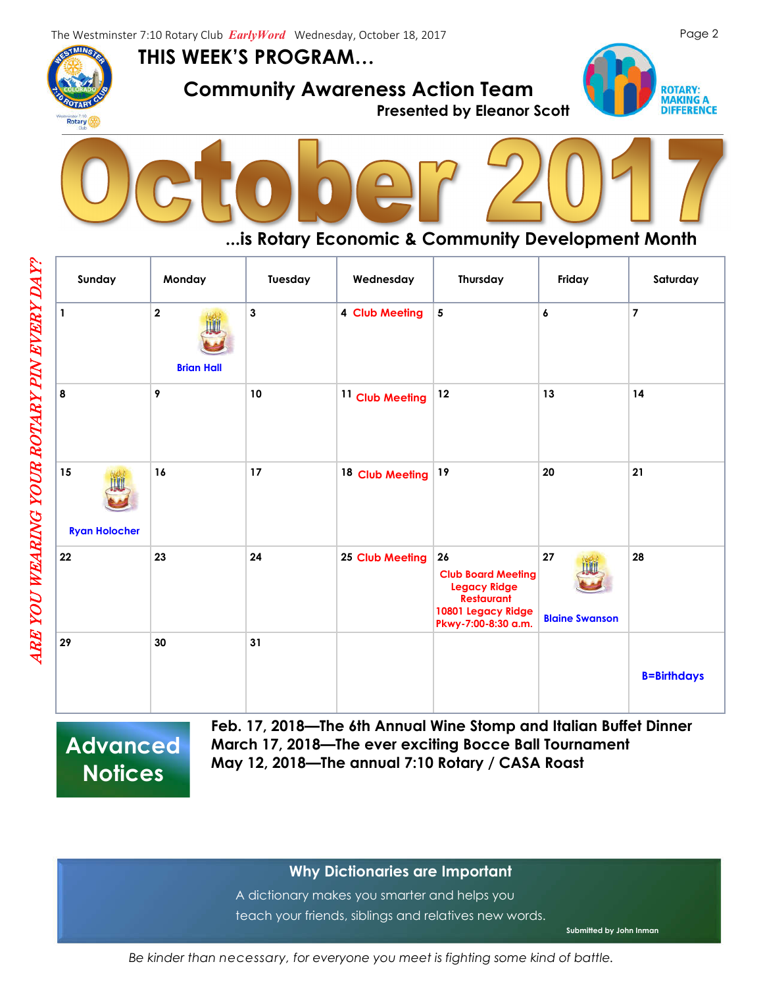**THIS WEEK'S PROGRAM…**



ARE YOU WEARING YOUR ROTARY PIN EVERY DAY?

ARE YOU WEARING YOUR ROTARY PIN EVERY DAY?

 **Community Awareness Action Team** 





## **...is Rotary Economic & Community Development Month**

| Sunday                     | Monday                                       | Tuesday      | Wednesday                  | Thursday                                                                                                                 | Friday                      | Saturday           |
|----------------------------|----------------------------------------------|--------------|----------------------------|--------------------------------------------------------------------------------------------------------------------------|-----------------------------|--------------------|
| $\mathbf{1}$               | $\overline{\mathbf{2}}$<br><b>Brian Hall</b> | $\mathbf{3}$ | 4 Club Meeting             | $5\phantom{a}$                                                                                                           | 6                           | $\overline{7}$     |
| 8                          | 9                                            | 10           | <sup>11</sup> Club Meeting | 12                                                                                                                       | 13                          | 14                 |
| 15<br><b>Ryan Holocher</b> | 16                                           | 17           | 18 Club Meeting            | 19                                                                                                                       | 20                          | 21                 |
| 22                         | 23                                           | 24           | <b>25 Club Meeting</b>     | 26<br><b>Club Board Meeting</b><br><b>Legacy Ridge</b><br><b>Restaurant</b><br>10801 Legacy Ridge<br>Pkwy-7:00-8:30 a.m. | 27<br><b>Blaine Swanson</b> | 28                 |
| 29                         | 30                                           | 31           |                            |                                                                                                                          |                             | <b>B=Birthdays</b> |

**Advanced Notices**

**Feb. 17, 2018—The 6th Annual Wine Stomp and Italian Buffet Dinner March 17, 2018—The ever exciting Bocce Ball Tournament May 12, 2018—The annual 7:10 Rotary / CASA Roast** 

## **Why Dictionaries are Important**

A dictionary makes you smarter and helps you teach your friends, siblings and relatives new words.

**Submitted by John Inman**

*Be kinder than necessary, for everyone you meet is fighting some kind of battle.*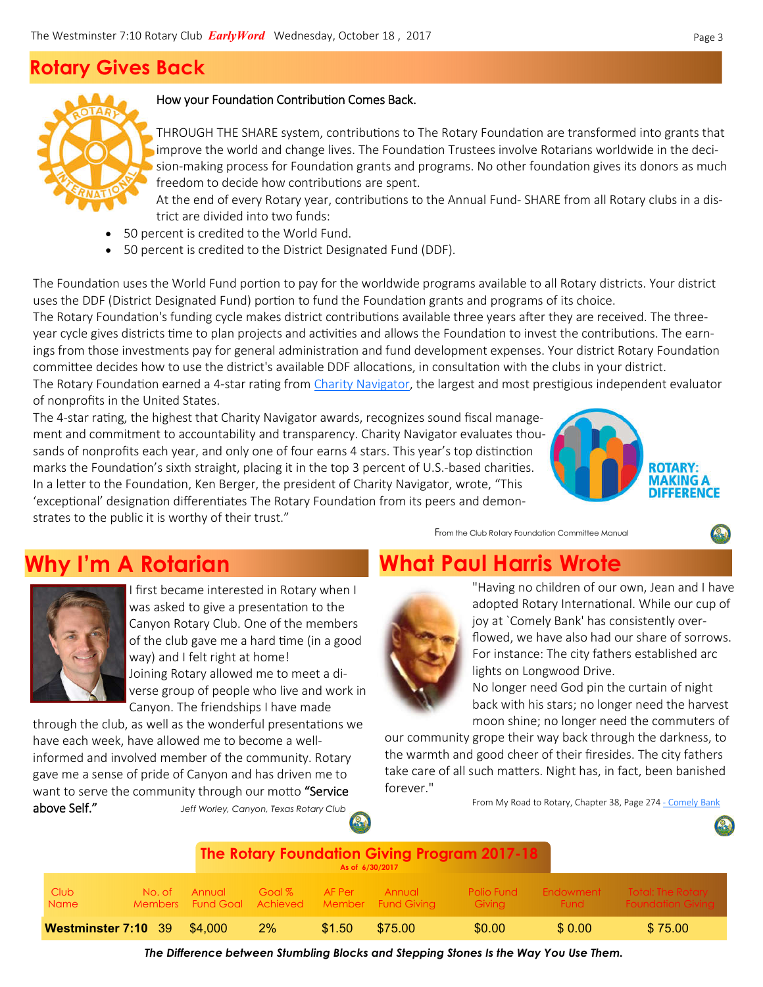# **Rotary Gives Back**



## How your Foundation Contribution Comes Back.

THROUGH THE SHARE system, contributions to The Rotary Foundation are transformed into grants that improve the world and change lives. The Foundation Trustees involve Rotarians worldwide in the decision-making process for Foundation grants and programs. No other foundation gives its donors as much freedom to decide how contributions are spent.

At the end of every Rotary year, contributions to the Annual Fund-SHARE from all Rotary clubs in a district are divided into two funds:

- 50 percent is credited to the World Fund.
- 50 percent is credited to the District Designated Fund (DDF).

The Foundation uses the World Fund portion to pay for the worldwide programs available to all Rotary districts. Your district uses the DDF (District Designated Fund) portion to fund the Foundation grants and programs of its choice.

Soon to be pro: The Rotary Foundation earned a 4-star rating from Charity Navigator, the largest and most prestigious independent evaluator The Rotary Foundation's funding cycle makes district contributions available three years after they are received. The threeyear cycle gives districts time to plan projects and activities and allows the Foundation to invest the contributions. The earnings from those investments pay for general administration and fund development expenses. Your district Rotary Foundation committee decides how to use the district's available DDF allocations, in consultation with the clubs in your district. of nonprofits in the United States.

The 4-star rating, the highest that Charity Navigator awards, recognizes sound fiscal management and commitment to accountability and transparency. Charity Navigator evaluates thousands of nonprofits each year, and only one of four earns 4 stars. This year's top distinction marks the Foundation's sixth straight, placing it in the top 3 percent of U.S.-based charities. In a letter to the Foundation, Ken Berger, the president of Charity Navigator, wrote, "This 'exceptional' designation differentiates The Rotary Foundation from its peers and demonstrates to the public it is worthy of their trust."



From the Club Rotary Foundation Committee Manual

# **Why I'm A Rotarian What Paul Harris Wrote**



I first became interested in Rotary when I was asked to give a presentation to the Canyon Rotary Club. One of the members of the club gave me a hard time (in a good way) and I felt right at home! Joining Rotary allowed me to meet a diverse group of people who live and work in Canyon. The friendships I have made

through the club, as well as the wonderful presentations we have each week, have allowed me to become a wellinformed and involved member of the community. Rotary gave me a sense of pride of Canyon and has driven me to want to serve the community through our motto "Service above Self." *Jeff Worley, Canyon, Texas Rotary Club*



"Having no children of our own, Jean and I have adopted Rotary International. While our cup of joy at `Comely Bank' has consistently overflowed, we have also had our share of sorrows. For instance: The city fathers established arc lights on Longwood Drive.

No longer need God pin the curtain of night back with his stars; no longer need the harvest moon shine; no longer need the commuters of

our community grope their way back through the darkness, to the warmth and good cheer of their firesides. The city fathers take care of all such matters. Night has, in fact, been banished forever."

From My Road to Rotary, Chapter 38, Page 274 - Comely Bank

|                                    |        |        |        |        | As of 6/30/2017                                                | <b>The Rotary Foundation Giving Program 2017-18</b> |             |                                                                           |
|------------------------------------|--------|--------|--------|--------|----------------------------------------------------------------|-----------------------------------------------------|-------------|---------------------------------------------------------------------------|
| Club<br><b>Name</b>                | No. of | Annual | Goal % | AF Per | <b>Annual</b><br>Members Fund Goal Achieved Member Fund Giving | Giving                                              | <b>Eund</b> | <b>Polio Fund Endowment Total: The Rotary</b><br><b>Foundation Giving</b> |
| <b>Westminster 7:10 39 \$4,000</b> |        |        | 2%     | \$1.50 | \$75.00                                                        | \$0.00                                              | \$ 0.00     | \$75.00                                                                   |

*The Difference between Stumbling Blocks and Stepping Stones Is the Way You Use Them.*